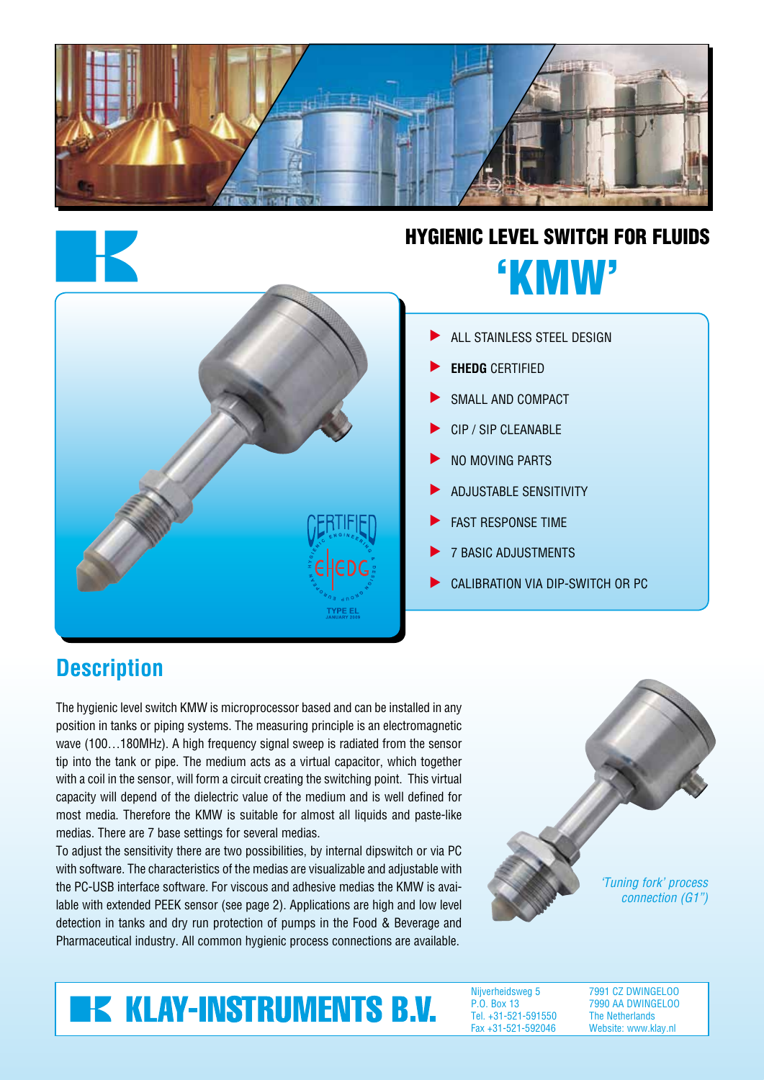



## Hygienic Level switch for fluids 'kmw'



#### All Stainless steel design s

- **EHEDG** certified s
- Small and compact s
- CIP / SIP cleanable s
- No moving parts s
- Adjustable sensitivity s
- Fast response time s
- 7 basic adjustments s
- Calibration via dip-switch or PC s

### **Description**

The hygienic level switch KMW is microprocessor based and can be installed in any position in tanks or piping systems. The measuring principle is an electromagnetic wave (100...180MHz). A high frequency signal sweep is radiated from the sensor tip into the tank or pipe. The medium acts as a virtual capacitor, which together with a coil in the sensor, will form a circuit creating the switching point. This virtual capacity will depend of the dielectric value of the medium and is well defined for most media. Therefore the KMW is suitable for almost all liquids and paste-like medias. There are 7 base settings for several medias.

To adjust the sensitivity there are two possibilities, by internal dipswitch or via PC with software. The characteristics of the medias are visualizable and adjustable with the PC-USB interface software. For viscous and adhesive medias the KMW is available with extended PEEK sensor (see page 2). Applications are high and low level detection in tanks and dry run protection of pumps in the Food & Beverage and Pharmaceutical industry. All common hygienic process connections are available.



# **K KLAY-INSTRUMENTS B.V.**

Nijverheidsweg 5 P.O. Box 13 Tel. +31-521-591550 Fax +31-521-592046

7991 CZ DWINGELOO 7990 AA DWINGELOO The Netherlands Website: www.klay.nl